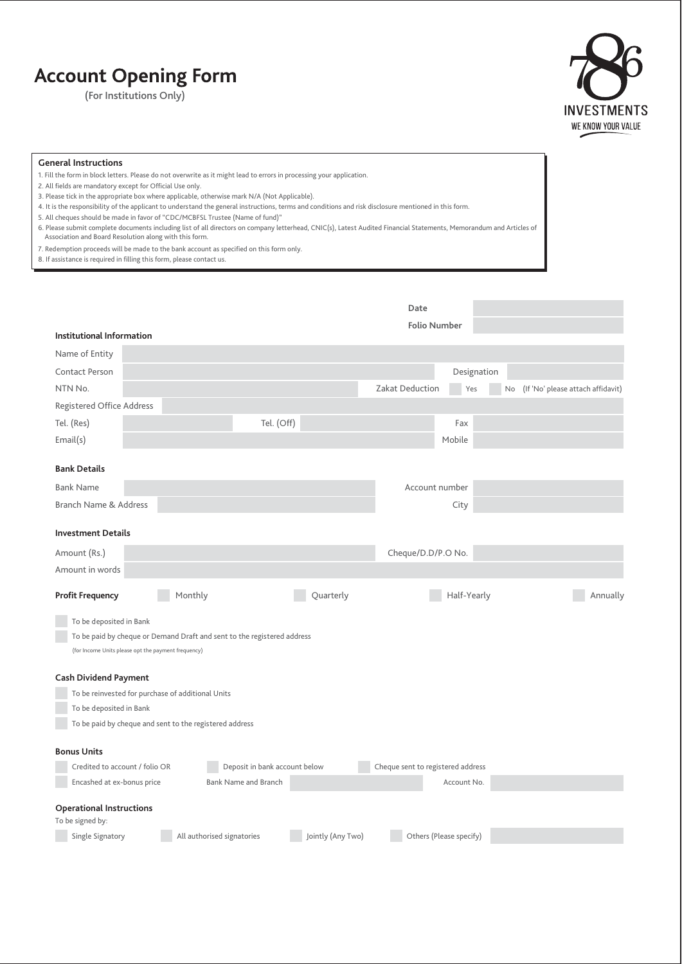## **Account Opening Form**

**(For Institutions Only)**



## **General Instructions**

- 1. Fill the form in block letters. Please do not overwrite as it might lead to errors in processing your application.
- 2. All fields are mandatory except for Official Use only.
- 3. Please tick in the appropriate box where applicable, otherwise mark N/A (Not Applicable).
- 4. It is the responsibility of the applicant to understand the general instructions, terms and conditions and risk disclosure mentioned in this form.
- 5. All cheques should be made in favor of "CDC/MCBFSL Trustee (Name of fund)"
- 6. Please submit complete documents including list of all directors on company letterhead, CNIC(s), Latest Audited Financial Statements, Memorandum and Articles of Association and Board Resolution along with this form.
- 7. Redemption proceeds will be made to the bank account as specified on this form only.
- 8. If assistance is required in filling this form, please contact us.

|                                                                         | Date                                                              |  |  |  |  |  |  |
|-------------------------------------------------------------------------|-------------------------------------------------------------------|--|--|--|--|--|--|
| <b>Institutional Information</b>                                        | <b>Folio Number</b>                                               |  |  |  |  |  |  |
| Name of Entity                                                          |                                                                   |  |  |  |  |  |  |
| <b>Contact Person</b>                                                   | Designation                                                       |  |  |  |  |  |  |
| NTN No.                                                                 | Zakat Deduction<br>(If 'No' please attach affidavit)<br>No<br>Yes |  |  |  |  |  |  |
| Registered Office Address                                               |                                                                   |  |  |  |  |  |  |
| Tel. (Off)<br>Tel. (Res)                                                | Fax                                                               |  |  |  |  |  |  |
| Email(s)                                                                | Mobile                                                            |  |  |  |  |  |  |
| <b>Bank Details</b>                                                     |                                                                   |  |  |  |  |  |  |
| <b>Bank Name</b>                                                        | Account number                                                    |  |  |  |  |  |  |
| <b>Branch Name &amp; Address</b>                                        | City                                                              |  |  |  |  |  |  |
|                                                                         |                                                                   |  |  |  |  |  |  |
| <b>Investment Details</b>                                               |                                                                   |  |  |  |  |  |  |
| Amount (Rs.)                                                            | Cheque/D.D/P.O No.                                                |  |  |  |  |  |  |
| Amount in words                                                         |                                                                   |  |  |  |  |  |  |
| Monthly<br>Quarterly<br><b>Profit Frequency</b>                         | Half-Yearly<br>Annually                                           |  |  |  |  |  |  |
| To be deposited in Bank                                                 |                                                                   |  |  |  |  |  |  |
| To be paid by cheque or Demand Draft and sent to the registered address |                                                                   |  |  |  |  |  |  |
| (for Income Units please opt the payment frequency)                     |                                                                   |  |  |  |  |  |  |
| <b>Cash Dividend Payment</b>                                            |                                                                   |  |  |  |  |  |  |
| To be reinvested for purchase of additional Units                       |                                                                   |  |  |  |  |  |  |
| To be deposited in Bank                                                 |                                                                   |  |  |  |  |  |  |
| To be paid by cheque and sent to the registered address                 |                                                                   |  |  |  |  |  |  |
| <b>Bonus Units</b>                                                      |                                                                   |  |  |  |  |  |  |
| Credited to account / folio OR<br>Deposit in bank account below         | Cheque sent to registered address                                 |  |  |  |  |  |  |
| Encashed at ex-bonus price<br>Bank Name and Branch                      | Account No.                                                       |  |  |  |  |  |  |
| <b>Operational Instructions</b><br>To be signed by:                     |                                                                   |  |  |  |  |  |  |
| Single Signatory<br>All authorised signatories<br>Jointly (Any Two)     | Others (Please specify)                                           |  |  |  |  |  |  |